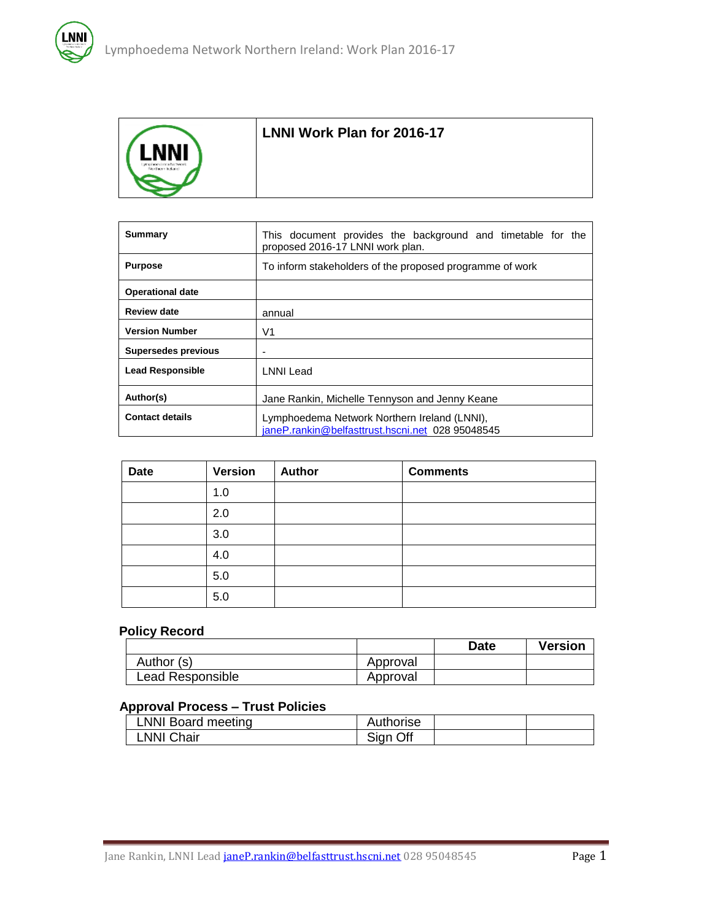

### **LNNI Work Plan for 2016-17**

| Summary                    | This document provides the background and timetable for the<br>proposed 2016-17 LNNI work plan.  |  |  |
|----------------------------|--------------------------------------------------------------------------------------------------|--|--|
| <b>Purpose</b>             | To inform stakeholders of the proposed programme of work                                         |  |  |
| <b>Operational date</b>    |                                                                                                  |  |  |
| <b>Review date</b>         | annual                                                                                           |  |  |
| <b>Version Number</b>      | V1                                                                                               |  |  |
| <b>Supersedes previous</b> | $\overline{a}$                                                                                   |  |  |
| <b>Lead Responsible</b>    | <b>LNNI Lead</b>                                                                                 |  |  |
| Author(s)                  | Jane Rankin, Michelle Tennyson and Jenny Keane                                                   |  |  |
| <b>Contact details</b>     | Lymphoedema Network Northern Ireland (LNNI),<br>janeP.rankin@belfasttrust.hscni.net 028 95048545 |  |  |

| <b>Date</b> | <b>Version</b> | Author | <b>Comments</b> |
|-------------|----------------|--------|-----------------|
|             | 1.0            |        |                 |
|             | 2.0            |        |                 |
|             | 3.0            |        |                 |
|             | 4.0            |        |                 |
|             | 5.0            |        |                 |
|             | 5.0            |        |                 |

## **Policy Record**

|                  |          | <b>Date</b> | <b>Version</b> |
|------------------|----------|-------------|----------------|
| Author (s)       | Approval |             |                |
| Lead Responsible | Approval |             |                |

#### **Approval Process – Trust Policies**

| LNNI Board meeting | Authorise |  |
|--------------------|-----------|--|
| LNNI Chair         | Sign Off  |  |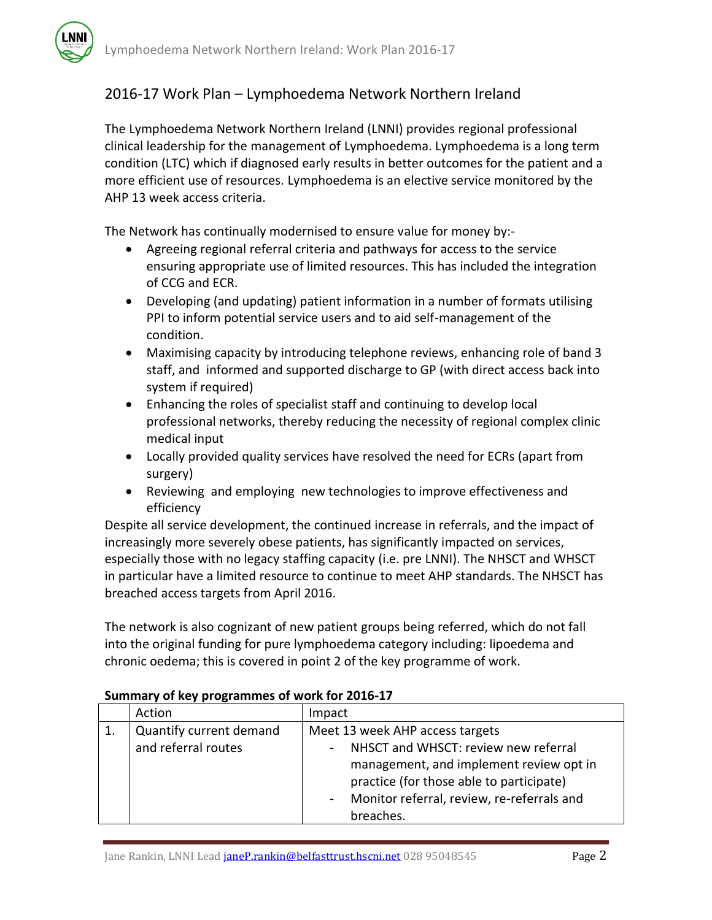# 2016-17 Work Plan – Lymphoedema Network Northern Ireland

The Lymphoedema Network Northern Ireland (LNNI) provides regional professional clinical leadership for the management of Lymphoedema. Lymphoedema is a long term condition (LTC) which if diagnosed early results in better outcomes for the patient and a more efficient use of resources. Lymphoedema is an elective service monitored by the AHP 13 week access criteria.

The Network has continually modernised to ensure value for money by:-

- Agreeing regional referral criteria and pathways for access to the service ensuring appropriate use of limited resources. This has included the integration of CCG and ECR.
- Developing (and updating) patient information in a number of formats utilising PPI to inform potential service users and to aid self-management of the condition.
- Maximising capacity by introducing telephone reviews, enhancing role of band 3 staff, and informed and supported discharge to GP (with direct access back into system if required)
- Enhancing the roles of specialist staff and continuing to develop local professional networks, thereby reducing the necessity of regional complex clinic medical input
- Locally provided quality services have resolved the need for ECRs (apart from surgery)
- Reviewing and employing new technologies to improve effectiveness and efficiency

Despite all service development, the continued increase in referrals, and the impact of increasingly more severely obese patients, has significantly impacted on services, especially those with no legacy staffing capacity (i.e. pre LNNI). The NHSCT and WHSCT in particular have a limited resource to continue to meet AHP standards. The NHSCT has breached access targets from April 2016.

The network is also cognizant of new patient groups being referred, which do not fall into the original funding for pure lymphoedema category including: lipoedema and chronic oedema; this is covered in point 2 of the key programme of work.

| Action                  | Impact                                               |
|-------------------------|------------------------------------------------------|
| Quantify current demand | Meet 13 week AHP access targets                      |
| and referral routes     | NHSCT and WHSCT: review new referral                 |
|                         | management, and implement review opt in              |
|                         | practice (for those able to participate)             |
|                         | Monitor referral, review, re-referrals and<br>$\sim$ |
|                         | breaches.                                            |

#### **Summary of key programmes of work for 2016-17**